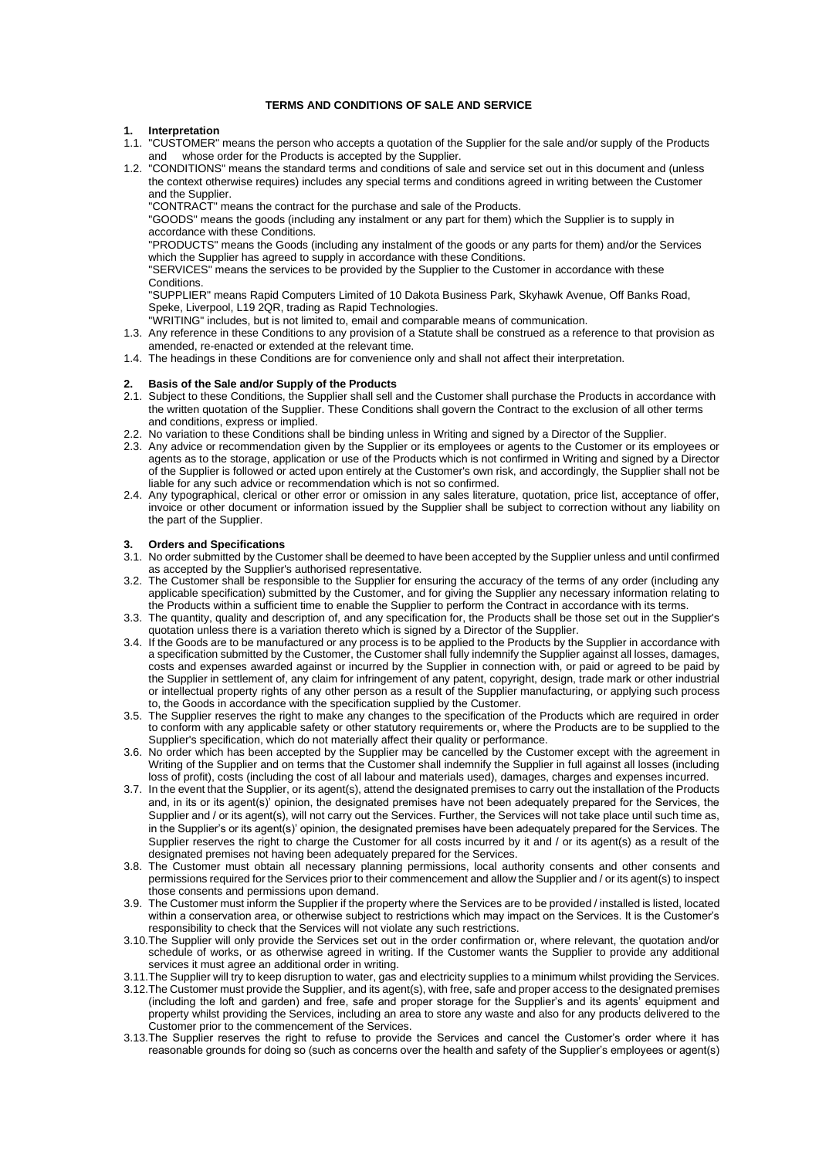# **TERMS AND CONDITIONS OF SALE AND SERVICE**

#### **1. Interpretation**

- 1.1. "CUSTOMER" means the person who accepts a quotation of the Supplier for the sale and/or supply of the Products whose order for the Products is accepted by the Supplier.
- 1.2. "CONDITIONS" means the standard terms and conditions of sale and service set out in this document and (unless the context otherwise requires) includes any special terms and conditions agreed in writing between the Customer and the Supplier.

"CONTRACT" means the contract for the purchase and sale of the Products.

"GOODS" means the goods (including any instalment or any part for them) which the Supplier is to supply in accordance with these Conditions.

"PRODUCTS" means the Goods (including any instalment of the goods or any parts for them) and/or the Services which the Supplier has agreed to supply in accordance with these Conditions.

"SERVICES" means the services to be provided by the Supplier to the Customer in accordance with these Conditions.

"SUPPLIER" means Rapid Computers Limited of 10 Dakota Business Park, Skyhawk Avenue, Off Banks Road, Speke, Liverpool, L19 2QR, trading as Rapid Technologies. "WRITING" includes, but is not limited to, email and comparable means of communication.

- 1.3. Any reference in these Conditions to any provision of a Statute shall be construed as a reference to that provision as amended, re-enacted or extended at the relevant time.
- 1.4. The headings in these Conditions are for convenience only and shall not affect their interpretation.

# **2. Basis of the Sale and/or Supply of the Products**

- 2.1. Subject to these Conditions, the Supplier shall sell and the Customer shall purchase the Products in accordance with the written quotation of the Supplier. These Conditions shall govern the Contract to the exclusion of all other terms and conditions, express or implied.
- 2.2. No variation to these Conditions shall be binding unless in Writing and signed by a Director of the Supplier.
- 2.3. Any advice or recommendation given by the Supplier or its employees or agents to the Customer or its employees or agents as to the storage, application or use of the Products which is not confirmed in Writing and signed by a Director of the Supplier is followed or acted upon entirely at the Customer's own risk, and accordingly, the Supplier shall not be liable for any such advice or recommendation which is not so confirmed.
- 2.4. Any typographical, clerical or other error or omission in any sales literature, quotation, price list, acceptance of offer, invoice or other document or information issued by the Supplier shall be subject to correction without any liability on the part of the Supplier.

## **3. Orders and Specifications**

- 3.1. No order submitted by the Customer shall be deemed to have been accepted by the Supplier unless and until confirmed as accepted by the Supplier's authorised representative.
- 3.2. The Customer shall be responsible to the Supplier for ensuring the accuracy of the terms of any order (including any applicable specification) submitted by the Customer, and for giving the Supplier any necessary information relating to the Products within a sufficient time to enable the Supplier to perform the Contract in accordance with its terms.
- 3.3. The quantity, quality and description of, and any specification for, the Products shall be those set out in the Supplier's quotation unless there is a variation thereto which is signed by a Director of the Supplier.
- 3.4. If the Goods are to be manufactured or any process is to be applied to the Products by the Supplier in accordance with a specification submitted by the Customer, the Customer shall fully indemnify the Supplier against all losses, damages, costs and expenses awarded against or incurred by the Supplier in connection with, or paid or agreed to be paid by the Supplier in settlement of, any claim for infringement of any patent, copyright, design, trade mark or other industrial or intellectual property rights of any other person as a result of the Supplier manufacturing, or applying such process to, the Goods in accordance with the specification supplied by the Customer.
- 3.5. The Supplier reserves the right to make any changes to the specification of the Products which are required in order to conform with any applicable safety or other statutory requirements or, where the Products are to be supplied to the Supplier's specification, which do not materially affect their quality or performance.
- 3.6. No order which has been accepted by the Supplier may be cancelled by the Customer except with the agreement in Writing of the Supplier and on terms that the Customer shall indemnify the Supplier in full against all losses (including loss of profit), costs (including the cost of all labour and materials used), damages, charges and expenses incurred.
- 3.7. In the event that the Supplier, or its agent(s), attend the designated premises to carry out the installation of the Products and, in its or its agent(s)' opinion, the designated premises have not been adequately prepared for the Services, the Supplier and / or its agent(s), will not carry out the Services. Further, the Services will not take place until such time as, in the Supplier's or its agent(s)' opinion, the designated premises have been adequately prepared for the Services. The Supplier reserves the right to charge the Customer for all costs incurred by it and / or its agent(s) as a result of the designated premises not having been adequately prepared for the Services.
- 3.8. The Customer must obtain all necessary planning permissions, local authority consents and other consents and permissions required for the Services prior to their commencement and allow the Supplier and / or its agent(s) to inspect those consents and permissions upon demand.
- 3.9. The Customer must inform the Supplier if the property where the Services are to be provided / installed is listed, located within a conservation area, or otherwise subject to restrictions which may impact on the Services. It is the Customer's responsibility to check that the Services will not violate any such restrictions.
- 3.10.The Supplier will only provide the Services set out in the order confirmation or, where relevant, the quotation and/or schedule of works, or as otherwise agreed in writing. If the Customer wants the Supplier to provide any additional services it must agree an additional order in writing.
- 3.11.The Supplier will try to keep disruption to water, gas and electricity supplies to a minimum whilst providing the Services.
- 3.12.The Customer must provide the Supplier, and its agent(s), with free, safe and proper access to the designated premises (including the loft and garden) and free, safe and proper storage for the Supplier's and its agents' equipment and property whilst providing the Services, including an area to store any waste and also for any products delivered to the Customer prior to the commencement of the Services.
- 3.13.The Supplier reserves the right to refuse to provide the Services and cancel the Customer's order where it has reasonable grounds for doing so (such as concerns over the health and safety of the Supplier's employees or agent(s)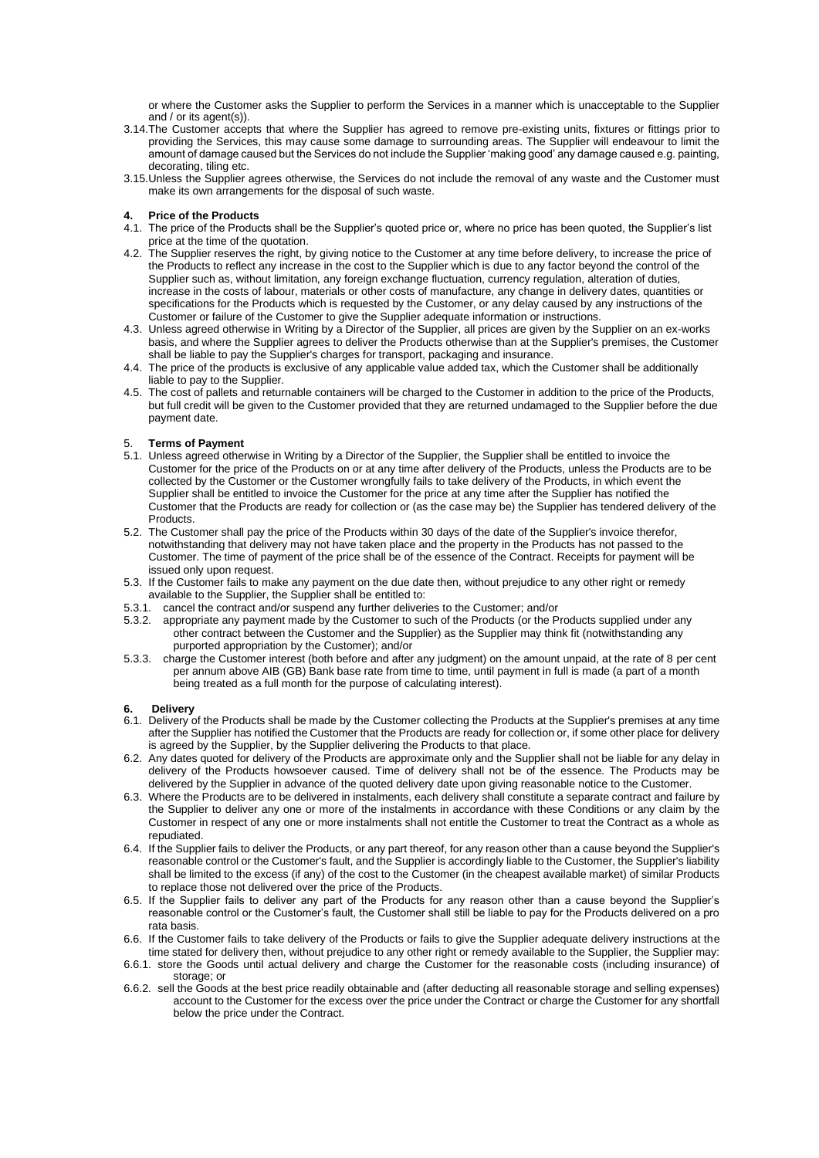or where the Customer asks the Supplier to perform the Services in a manner which is unacceptable to the Supplier and / or its agent(s)).

- 3.14.The Customer accepts that where the Supplier has agreed to remove pre-existing units, fixtures or fittings prior to providing the Services, this may cause some damage to surrounding areas. The Supplier will endeavour to limit the amount of damage caused but the Services do not include the Supplier 'making good' any damage caused e.g. painting, decorating, tiling etc.
- 3.15.Unless the Supplier agrees otherwise, the Services do not include the removal of any waste and the Customer must make its own arrangements for the disposal of such waste.

### **4. Price of the Products**

- 4.1. The price of the Products shall be the Supplier's quoted price or, where no price has been quoted, the Supplier's list price at the time of the quotation.
- 4.2. The Supplier reserves the right, by giving notice to the Customer at any time before delivery, to increase the price of the Products to reflect any increase in the cost to the Supplier which is due to any factor beyond the control of the Supplier such as, without limitation, any foreign exchange fluctuation, currency regulation, alteration of duties, increase in the costs of labour, materials or other costs of manufacture, any change in delivery dates, quantities or specifications for the Products which is requested by the Customer, or any delay caused by any instructions of the Customer or failure of the Customer to give the Supplier adequate information or instructions.
- 4.3. Unless agreed otherwise in Writing by a Director of the Supplier, all prices are given by the Supplier on an ex-works basis, and where the Supplier agrees to deliver the Products otherwise than at the Supplier's premises, the Customer shall be liable to pay the Supplier's charges for transport, packaging and insurance.
- 4.4. The price of the products is exclusive of any applicable value added tax, which the Customer shall be additionally liable to pay to the Supplier.
- 4.5. The cost of pallets and returnable containers will be charged to the Customer in addition to the price of the Products, but full credit will be given to the Customer provided that they are returned undamaged to the Supplier before the due payment date.

# 5. **Terms of Payment**

- 5.1. Unless agreed otherwise in Writing by a Director of the Supplier, the Supplier shall be entitled to invoice the Customer for the price of the Products on or at any time after delivery of the Products, unless the Products are to be collected by the Customer or the Customer wrongfully fails to take delivery of the Products, in which event the Supplier shall be entitled to invoice the Customer for the price at any time after the Supplier has notified the Customer that the Products are ready for collection or (as the case may be) the Supplier has tendered delivery of the Products.
- 5.2. The Customer shall pay the price of the Products within 30 days of the date of the Supplier's invoice therefor, notwithstanding that delivery may not have taken place and the property in the Products has not passed to the Customer. The time of payment of the price shall be of the essence of the Contract. Receipts for payment will be issued only upon request.
- 5.3. If the Customer fails to make any payment on the due date then, without prejudice to any other right or remedy available to the Supplier, the Supplier shall be entitled to:
- 5.3.1. cancel the contract and/or suspend any further deliveries to the Customer; and/or
- 5.3.2. appropriate any payment made by the Customer to such of the Products (or the Products supplied under any other contract between the Customer and the Supplier) as the Supplier may think fit (notwithstanding any purported appropriation by the Customer); and/or
- 5.3.3. charge the Customer interest (both before and after any judgment) on the amount unpaid, at the rate of 8 per cent per annum above AIB (GB) Bank base rate from time to time, until payment in full is made (a part of a month being treated as a full month for the purpose of calculating interest).

#### **6. Delivery**

- 6.1. Delivery of the Products shall be made by the Customer collecting the Products at the Supplier's premises at any time after the Supplier has notified the Customer that the Products are ready for collection or, if some other place for delivery is agreed by the Supplier, by the Supplier delivering the Products to that place.
- 6.2. Any dates quoted for delivery of the Products are approximate only and the Supplier shall not be liable for any delay in delivery of the Products howsoever caused. Time of delivery shall not be of the essence. The Products may be delivered by the Supplier in advance of the quoted delivery date upon giving reasonable notice to the Customer.
- 6.3. Where the Products are to be delivered in instalments, each delivery shall constitute a separate contract and failure by the Supplier to deliver any one or more of the instalments in accordance with these Conditions or any claim by the Customer in respect of any one or more instalments shall not entitle the Customer to treat the Contract as a whole as repudiated.
- 6.4. If the Supplier fails to deliver the Products, or any part thereof, for any reason other than a cause beyond the Supplier's reasonable control or the Customer's fault, and the Supplier is accordingly liable to the Customer, the Supplier's liability shall be limited to the excess (if any) of the cost to the Customer (in the cheapest available market) of similar Products to replace those not delivered over the price of the Products.
- 6.5. If the Supplier fails to deliver any part of the Products for any reason other than a cause beyond the Supplier's reasonable control or the Customer's fault, the Customer shall still be liable to pay for the Products delivered on a pro rata basis.
- 6.6. If the Customer fails to take delivery of the Products or fails to give the Supplier adequate delivery instructions at the time stated for delivery then, without prejudice to any other right or remedy available to the Supplier, the Supplier may:
- 6.6.1. store the Goods until actual delivery and charge the Customer for the reasonable costs (including insurance) of storage; or
- 6.6.2. sell the Goods at the best price readily obtainable and (after deducting all reasonable storage and selling expenses) account to the Customer for the excess over the price under the Contract or charge the Customer for any shortfall below the price under the Contract.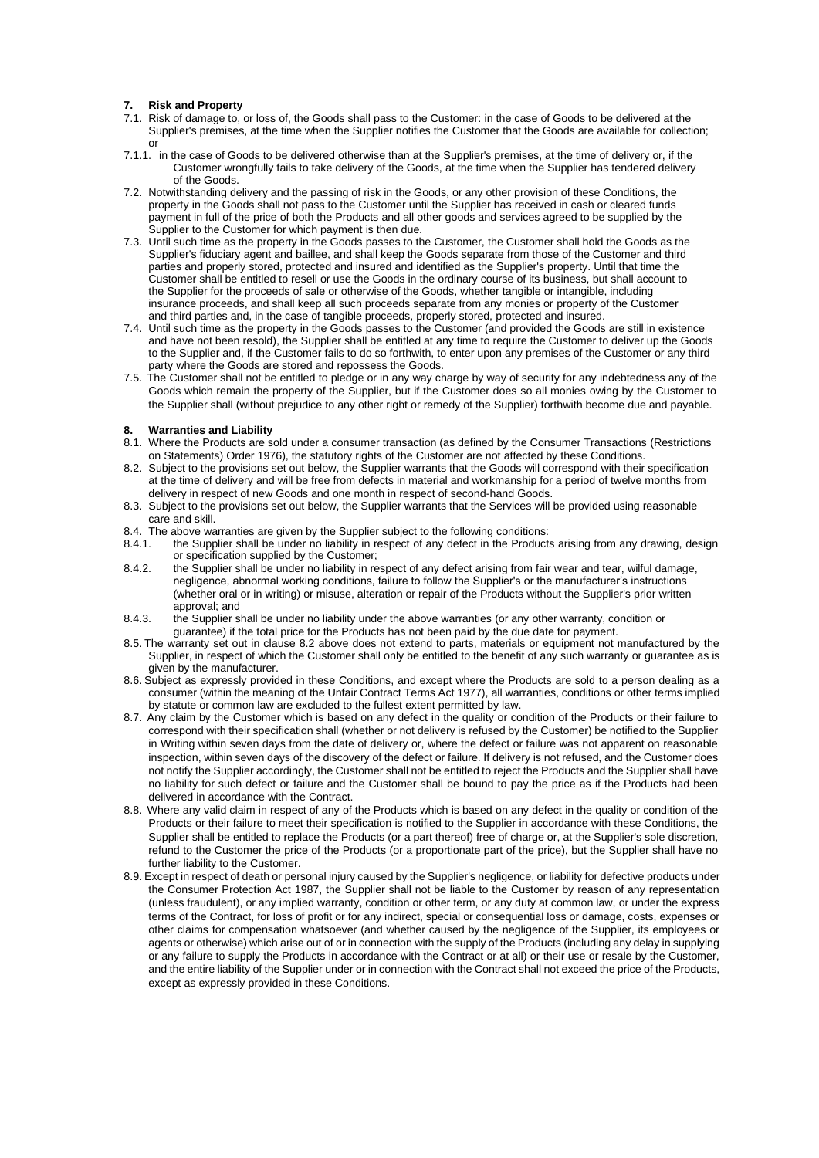# **7. Risk and Property**

- 7.1. Risk of damage to, or loss of, the Goods shall pass to the Customer: in the case of Goods to be delivered at the Supplier's premises, at the time when the Supplier notifies the Customer that the Goods are available for collection; or
- 7.1.1. in the case of Goods to be delivered otherwise than at the Supplier's premises, at the time of delivery or, if the Customer wrongfully fails to take delivery of the Goods, at the time when the Supplier has tendered delivery of the Goods.
- 7.2. Notwithstanding delivery and the passing of risk in the Goods, or any other provision of these Conditions, the property in the Goods shall not pass to the Customer until the Supplier has received in cash or cleared funds payment in full of the price of both the Products and all other goods and services agreed to be supplied by the Supplier to the Customer for which payment is then due.
- 7.3. Until such time as the property in the Goods passes to the Customer, the Customer shall hold the Goods as the Supplier's fiduciary agent and baillee, and shall keep the Goods separate from those of the Customer and third parties and properly stored, protected and insured and identified as the Supplier's property. Until that time the Customer shall be entitled to resell or use the Goods in the ordinary course of its business, but shall account to the Supplier for the proceeds of sale or otherwise of the Goods, whether tangible or intangible, including insurance proceeds, and shall keep all such proceeds separate from any monies or property of the Customer and third parties and, in the case of tangible proceeds, properly stored, protected and insured.
- 7.4. Until such time as the property in the Goods passes to the Customer (and provided the Goods are still in existence and have not been resold), the Supplier shall be entitled at any time to require the Customer to deliver up the Goods to the Supplier and, if the Customer fails to do so forthwith, to enter upon any premises of the Customer or any third party where the Goods are stored and repossess the Goods.
- 7.5. The Customer shall not be entitled to pledge or in any way charge by way of security for any indebtedness any of the Goods which remain the property of the Supplier, but if the Customer does so all monies owing by the Customer to the Supplier shall (without prejudice to any other right or remedy of the Supplier) forthwith become due and payable.

## **8. Warranties and Liability**

- 8.1. Where the Products are sold under a consumer transaction (as defined by the Consumer Transactions (Restrictions on Statements) Order 1976), the statutory rights of the Customer are not affected by these Conditions.
- 8.2. Subject to the provisions set out below, the Supplier warrants that the Goods will correspond with their specification at the time of delivery and will be free from defects in material and workmanship for a period of twelve months from delivery in respect of new Goods and one month in respect of second-hand Goods.
- 8.3. Subject to the provisions set out below, the Supplier warrants that the Services will be provided using reasonable care and skill.
- 8.4. The above warranties are given by the Supplier subject to the following conditions:<br>8.4.1. the Supplier shall be under no liability in respect of any defect in the Product
- the Supplier shall be under no liability in respect of any defect in the Products arising from any drawing, design or specification supplied by the Customer;
- 8.4.2. the Supplier shall be under no liability in respect of any defect arising from fair wear and tear, wilful damage, negligence, abnormal working conditions, failure to follow the Supplier's or the manufacturer's instructions (whether oral or in writing) or misuse, alteration or repair of the Products without the Supplier's prior written approval; and
- 8.4.3. the Supplier shall be under no liability under the above warranties (or any other warranty, condition or guarantee) if the total price for the Products has not been paid by the due date for payment.
- 8.5. The warranty set out in clause 8.2 above does not extend to parts, materials or equipment not manufactured by the Supplier, in respect of which the Customer shall only be entitled to the benefit of any such warranty or quarantee as is given by the manufacturer.
- 8.6. Subject as expressly provided in these Conditions, and except where the Products are sold to a person dealing as a consumer (within the meaning of the Unfair Contract Terms Act 1977), all warranties, conditions or other terms implied by statute or common law are excluded to the fullest extent permitted by law.
- 8.7. Any claim by the Customer which is based on any defect in the quality or condition of the Products or their failure to correspond with their specification shall (whether or not delivery is refused by the Customer) be notified to the Supplier in Writing within seven days from the date of delivery or, where the defect or failure was not apparent on reasonable inspection, within seven days of the discovery of the defect or failure. If delivery is not refused, and the Customer does not notify the Supplier accordingly, the Customer shall not be entitled to reject the Products and the Supplier shall have no liability for such defect or failure and the Customer shall be bound to pay the price as if the Products had been delivered in accordance with the Contract.
- 8.8. Where any valid claim in respect of any of the Products which is based on any defect in the quality or condition of the Products or their failure to meet their specification is notified to the Supplier in accordance with these Conditions, the Supplier shall be entitled to replace the Products (or a part thereof) free of charge or, at the Supplier's sole discretion, refund to the Customer the price of the Products (or a proportionate part of the price), but the Supplier shall have no further liability to the Customer.
- 8.9. Except in respect of death or personal injury caused by the Supplier's negligence, or liability for defective products under the Consumer Protection Act 1987, the Supplier shall not be liable to the Customer by reason of any representation (unless fraudulent), or any implied warranty, condition or other term, or any duty at common law, or under the express terms of the Contract, for loss of profit or for any indirect, special or consequential loss or damage, costs, expenses or other claims for compensation whatsoever (and whether caused by the negligence of the Supplier, its employees or agents or otherwise) which arise out of or in connection with the supply of the Products (including any delay in supplying or any failure to supply the Products in accordance with the Contract or at all) or their use or resale by the Customer, and the entire liability of the Supplier under or in connection with the Contract shall not exceed the price of the Products, except as expressly provided in these Conditions.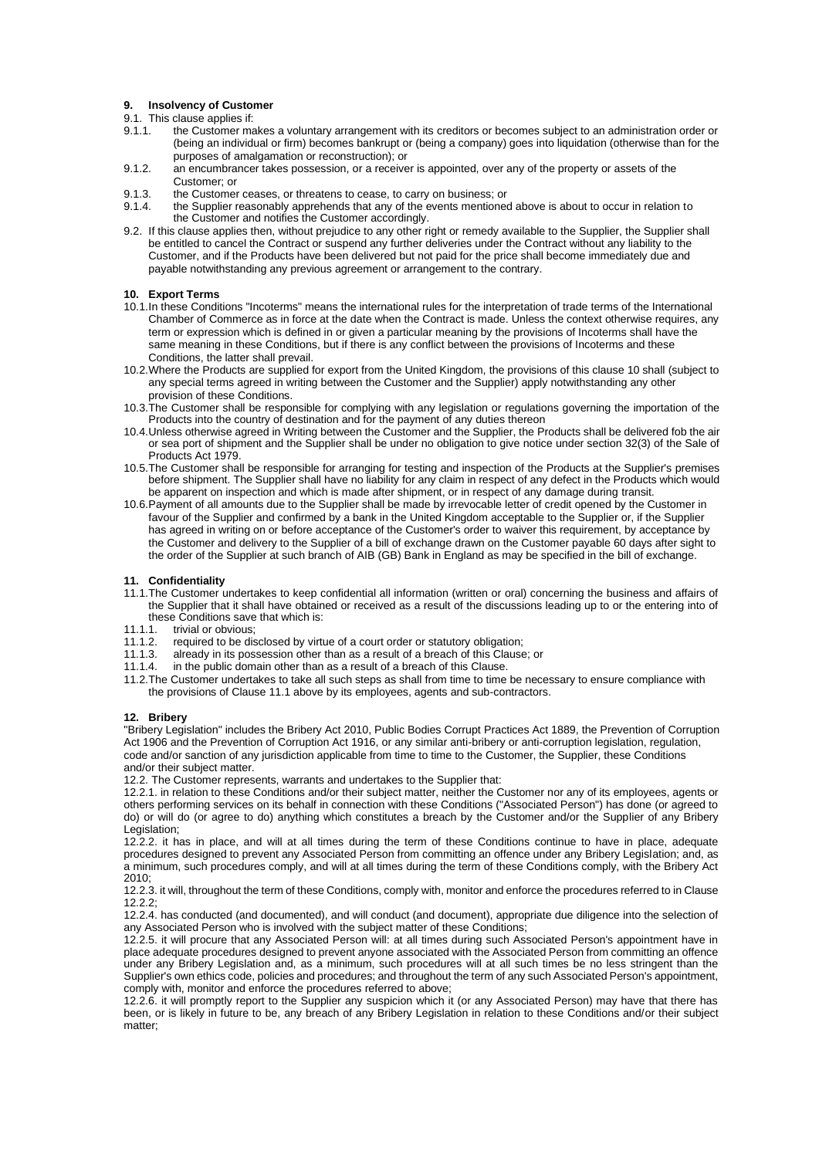## **9. Insolvency of Customer**

- 9.1. This clause applies if:
- 9.1.1. the Customer makes a voluntary arrangement with its creditors or becomes subject to an administration order or (being an individual or firm) becomes bankrupt or (being a company) goes into liquidation (otherwise than for the purposes of amalgamation or reconstruction); or
- 9.1.2. an encumbrancer takes possession, or a receiver is appointed, over any of the property or assets of the Customer; or
- 9.1.3. the Customer ceases, or threatens to cease, to carry on business; or
- 9.1.4. the Supplier reasonably apprehends that any of the events mentioned above is about to occur in relation to the Customer and notifies the Customer accordingly.
- 9.2. If this clause applies then, without prejudice to any other right or remedy available to the Supplier, the Supplier shall be entitled to cancel the Contract or suspend any further deliveries under the Contract without any liability to the Customer, and if the Products have been delivered but not paid for the price shall become immediately due and payable notwithstanding any previous agreement or arrangement to the contrary.

# **10. Export Terms**

- 10.1.In these Conditions "Incoterms" means the international rules for the interpretation of trade terms of the International Chamber of Commerce as in force at the date when the Contract is made. Unless the context otherwise requires, any term or expression which is defined in or given a particular meaning by the provisions of Incoterms shall have the same meaning in these Conditions, but if there is any conflict between the provisions of Incoterms and these Conditions, the latter shall prevail.
- 10.2.Where the Products are supplied for export from the United Kingdom, the provisions of this clause 10 shall (subject to any special terms agreed in writing between the Customer and the Supplier) apply notwithstanding any other provision of these Conditions.
- 10.3.The Customer shall be responsible for complying with any legislation or regulations governing the importation of the Products into the country of destination and for the payment of any duties thereon
- 10.4.Unless otherwise agreed in Writing between the Customer and the Supplier, the Products shall be delivered fob the air or sea port of shipment and the Supplier shall be under no obligation to give notice under section 32(3) of the Sale of Products Act 1979.
- 10.5.The Customer shall be responsible for arranging for testing and inspection of the Products at the Supplier's premises before shipment. The Supplier shall have no liability for any claim in respect of any defect in the Products which would be apparent on inspection and which is made after shipment, or in respect of any damage during transit.
- 10.6.Payment of all amounts due to the Supplier shall be made by irrevocable letter of credit opened by the Customer in favour of the Supplier and confirmed by a bank in the United Kingdom acceptable to the Supplier or, if the Supplier has agreed in writing on or before acceptance of the Customer's order to waiver this requirement, by acceptance by the Customer and delivery to the Supplier of a bill of exchange drawn on the Customer payable 60 days after sight to the order of the Supplier at such branch of AIB (GB) Bank in England as may be specified in the bill of exchange.

#### **11. Confidentiality**

- 11.1.The Customer undertakes to keep confidential all information (written or oral) concerning the business and affairs of the Supplier that it shall have obtained or received as a result of the discussions leading up to or the entering into of these Conditions save that which is:<br>11.1.1 trivial or obvious:
- 
- 11.1.1. trivial or obvious;<br>11.1.2. required to be dis 11.1.2. required to be disclosed by virtue of a court order or statutory obligation;<br>11.1.3 already in its possession other than as a result of a breach of this Clause
- 11.1.3. already in its possession other than as a result of a breach of this Clause; or 11.1.4 in the public domain other than as a result of a breach of this Clause.
- in the public domain other than as a result of a breach of this Clause.
- 11.2.The Customer undertakes to take all such steps as shall from time to time be necessary to ensure compliance with the provisions of Clause 11.1 above by its employees, agents and sub-contractors.

#### **12. Bribery**

"Bribery Legislation" includes the Bribery Act 2010, Public Bodies Corrupt Practices Act 1889, the Prevention of Corruption Act 1906 and the Prevention of Corruption Act 1916, or any similar anti-bribery or anti-corruption legislation, regulation, code and/or sanction of any jurisdiction applicable from time to time to the Customer, the Supplier, these Conditions and/or their subject matter.

12.2. The Customer represents, warrants and undertakes to the Supplier that:

12.2.1. in relation to these Conditions and/or their subject matter, neither the Customer nor any of its employees, agents or others performing services on its behalf in connection with these Conditions ("Associated Person") has done (or agreed to do) or will do (or agree to do) anything which constitutes a breach by the Customer and/or the Supplier of any Bribery Legislation;

12.2.2. it has in place, and will at all times during the term of these Conditions continue to have in place, adequate procedures designed to prevent any Associated Person from committing an offence under any Bribery Legislation; and, as a minimum, such procedures comply, and will at all times during the term of these Conditions comply, with the Bribery Act 2010;

12.2.3. it will, throughout the term of these Conditions, comply with, monitor and enforce the procedures referred to in Clause 12.2.2;

12.2.4. has conducted (and documented), and will conduct (and document), appropriate due diligence into the selection of any Associated Person who is involved with the subject matter of these Conditions;

12.2.5. it will procure that any Associated Person will: at all times during such Associated Person's appointment have in place adequate procedures designed to prevent anyone associated with the Associated Person from committing an offence under any Bribery Legislation and, as a minimum, such procedures will at all such times be no less stringent than the Supplier's own ethics code, policies and procedures; and throughout the term of any such Associated Person's appointment, comply with, monitor and enforce the procedures referred to above;

12.2.6. it will promptly report to the Supplier any suspicion which it (or any Associated Person) may have that there has been, or is likely in future to be, any breach of any Bribery Legislation in relation to these Conditions and/or their subject matter: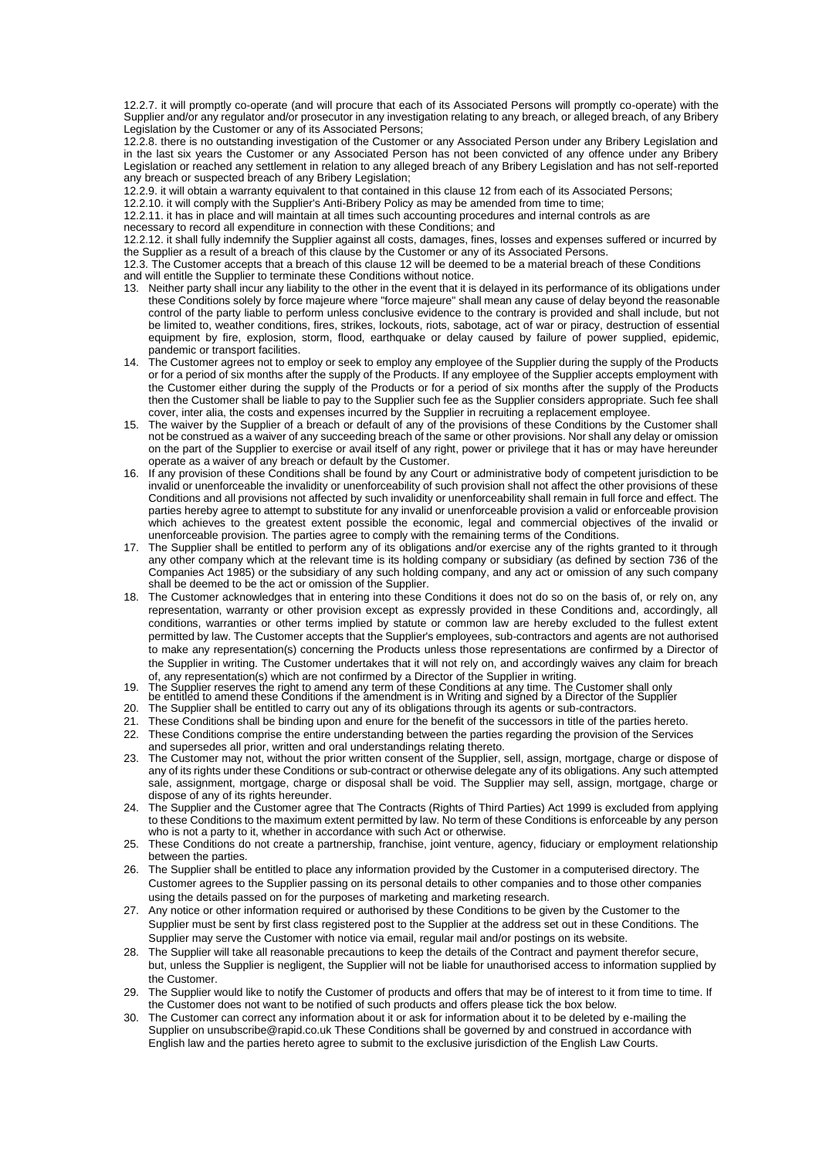12.2.7. it will promptly co-operate (and will procure that each of its Associated Persons will promptly co-operate) with the Supplier and/or any regulator and/or prosecutor in any investigation relating to any breach, or alleged breach, of any Bribery Legislation by the Customer or any of its Associated Persons;

12.2.8. there is no outstanding investigation of the Customer or any Associated Person under any Bribery Legislation and in the last six years the Customer or any Associated Person has not been convicted of any offence under any Bribery Legislation or reached any settlement in relation to any alleged breach of any Bribery Legislation and has not self-reported any breach or suspected breach of any Bribery Legislation:

12.2.9. it will obtain a warranty equivalent to that contained in this clause 12 from each of its Associated Persons;

12.2.10. it will comply with the Supplier's Anti-Bribery Policy as may be amended from time to time;

12.2.11. it has in place and will maintain at all times such accounting procedures and internal controls as are

necessary to record all expenditure in connection with these Conditions; and

12.2.12. it shall fully indemnify the Supplier against all costs, damages, fines, losses and expenses suffered or incurred by the Supplier as a result of a breach of this clause by the Customer or any of its Associated Persons.

12.3. The Customer accepts that a breach of this clause 12 will be deemed to be a material breach of these Conditions and will entitle the Supplier to terminate these Conditions without notice.

- 13. Neither party shall incur any liability to the other in the event that it is delayed in its performance of its obligations under these Conditions solely by force majeure where "force majeure" shall mean any cause of delay beyond the reasonable control of the party liable to perform unless conclusive evidence to the contrary is provided and shall include, but not be limited to, weather conditions, fires, strikes, lockouts, riots, sabotage, act of war or piracy, destruction of essential equipment by fire, explosion, storm, flood, earthquake or delay caused by failure of power supplied, epidemic, pandemic or transport facilities.
- 14. The Customer agrees not to employ or seek to employ any employee of the Supplier during the supply of the Products or for a period of six months after the supply of the Products. If any employee of the Supplier accepts employment with the Customer either during the supply of the Products or for a period of six months after the supply of the Products then the Customer shall be liable to pay to the Supplier such fee as the Supplier considers appropriate. Such fee shall cover, inter alia, the costs and expenses incurred by the Supplier in recruiting a replacement employee.
- The waiver by the Supplier of a breach or default of any of the provisions of these Conditions by the Customer shall not be construed as a waiver of any succeeding breach of the same or other provisions. Nor shall any delay or omission on the part of the Supplier to exercise or avail itself of any right, power or privilege that it has or may have hereunder operate as a waiver of any breach or default by the Customer.
- 16. If any provision of these Conditions shall be found by any Court or administrative body of competent jurisdiction to be invalid or unenforceable the invalidity or unenforceability of such provision shall not affect the other provisions of these Conditions and all provisions not affected by such invalidity or unenforceability shall remain in full force and effect. The parties hereby agree to attempt to substitute for any invalid or unenforceable provision a valid or enforceable provision which achieves to the greatest extent possible the economic, legal and commercial objectives of the invalid or unenforceable provision. The parties agree to comply with the remaining terms of the Conditions.
- 17. The Supplier shall be entitled to perform any of its obligations and/or exercise any of the rights granted to it through any other company which at the relevant time is its holding company or subsidiary (as defined by section 736 of the Companies Act 1985) or the subsidiary of any such holding company, and any act or omission of any such company shall be deemed to be the act or omission of the Supplier.
- 18. The Customer acknowledges that in entering into these Conditions it does not do so on the basis of, or rely on, any representation, warranty or other provision except as expressly provided in these Conditions and, accordingly, all conditions, warranties or other terms implied by statute or common law are hereby excluded to the fullest extent permitted by law. The Customer accepts that the Supplier's employees, sub-contractors and agents are not authorised to make any representation(s) concerning the Products unless those representations are confirmed by a Director of the Supplier in writing. The Customer undertakes that it will not rely on, and accordingly waives any claim for breach
- of, any representation(s) which are not confirmed by a Director of the Supplier in writing.<br>19. The Supplier reserves the right to amend any term of these Conditions at any time. The Customer shall only<br>be entitled to amen
- 
- 20. The Supplier shall be entitled to carry out any of its obligations through its agents or sub-contractors.
- 21. These Conditions shall be binding upon and enure for the benefit of the successors in title of the parties hereto.
- 22. These Conditions comprise the entire understanding between the parties regarding the provision of the Services and supersedes all prior, written and oral understandings relating thereto.
- 23. The Customer may not, without the prior written consent of the Supplier, sell, assign, mortgage, charge or dispose of any of its rights under these Conditions or sub-contract or otherwise delegate any of its obligations. Any such attempted sale, assignment, mortgage, charge or disposal shall be void. The Supplier may sell, assign, mortgage, charge or dispose of any of its rights hereunder.
- 24. The Supplier and the Customer agree that The Contracts (Rights of Third Parties) Act 1999 is excluded from applying to these Conditions to the maximum extent permitted by law. No term of these Conditions is enforceable by any person who is not a party to it, whether in accordance with such Act or otherwise.
- 25. These Conditions do not create a partnership, franchise, joint venture, agency, fiduciary or employment relationship between the parties.
- 26. The Supplier shall be entitled to place any information provided by the Customer in a computerised directory. The Customer agrees to the Supplier passing on its personal details to other companies and to those other companies using the details passed on for the purposes of marketing and marketing research.
- 27. Any notice or other information required or authorised by these Conditions to be given by the Customer to the Supplier must be sent by first class registered post to the Supplier at the address set out in these Conditions. The Supplier may serve the Customer with notice via email, regular mail and/or postings on its website.
- 28. The Supplier will take all reasonable precautions to keep the details of the Contract and payment therefor secure, but, unless the Supplier is negligent, the Supplier will not be liable for unauthorised access to information supplied by the Customer.
- 29. The Supplier would like to notify the Customer of products and offers that may be of interest to it from time to time. If the Customer does not want to be notified of such products and offers please tick the box below.
- 30. The Customer can correct any information about it or ask for information about it to be deleted by e-mailing the Supplier on unsubscribe@rapid.co.uk These Conditions shall be governed by and construed in accordance with English law and the parties hereto agree to submit to the exclusive jurisdiction of the English Law Courts.